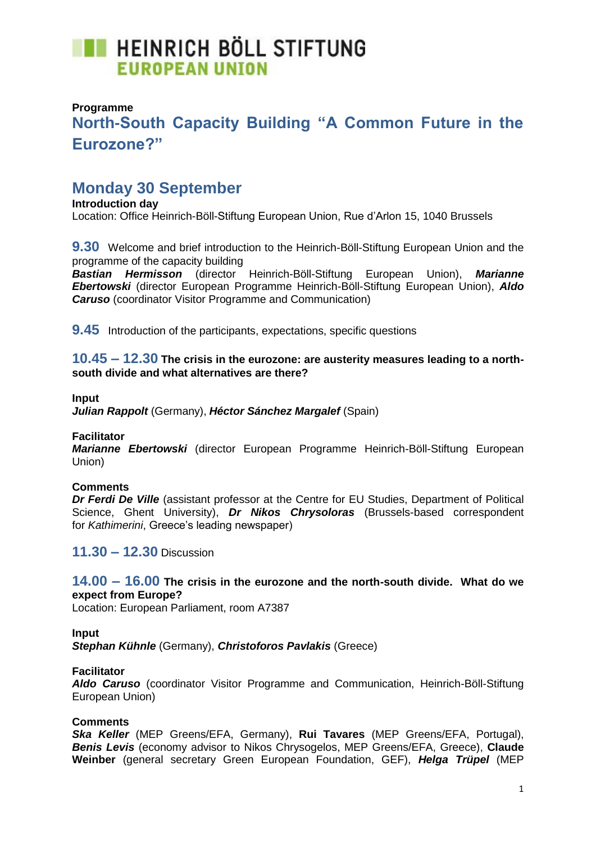# **THE HEINRICH BÖLL STIFTUNG EUROPEAN UNION**

## **Programme**

## **North-South Capacity Building "A Common Future in the Eurozone?"**

## **Monday 30 September**

**Introduction day** Location: Office Heinrich-Böll-Stiftung European Union, Rue d'Arlon 15, 1040 Brussels

**9.30** Welcome and brief introduction to the Heinrich-Böll-Stiftung European Union and the programme of the capacity building

*Bastian Hermisson* (director Heinrich-Böll-Stiftung European Union), *Marianne Ebertowski* (director European Programme Heinrich-Böll-Stiftung European Union), *Aldo Caruso* (coordinator Visitor Programme and Communication)

**9.45** Introduction of the participants, expectations, specific questions

**10.45 – 12.30 The crisis in the eurozone: are austerity measures leading to a northsouth divide and what alternatives are there?**

#### **Input**

*Julian Rappolt* (Germany), *Héctor Sánchez Margalef* (Spain)

#### **Facilitator**

*Marianne Ebertowski* (director European Programme Heinrich-Böll-Stiftung European Union)

#### **Comments**

*Dr Ferdi De Ville* (assistant professor at the Centre for EU Studies, Department of Political Science, Ghent University), *Dr Nikos Chrysoloras* (Brussels-based correspondent for *Kathimerini*, Greece's leading newspaper)

**11.30 – 12.30** Discussion

## **14.00 – 16.00 The crisis in the eurozone and the north-south divide. What do we expect from Europe?**

Location: European Parliament, room A7387

#### **Input**

*Stephan Kühnle* (Germany), *Christoforos Pavlakis* (Greece)

#### **Facilitator**

*Aldo Caruso* (coordinator Visitor Programme and Communication, Heinrich-Böll-Stiftung European Union)

#### **Comments**

*Ska Keller* (MEP Greens/EFA, Germany), **Rui Tavares** (MEP Greens/EFA, Portugal), *Benis Levis* (economy advisor to Nikos Chrysogelos, MEP Greens/EFA, Greece), **Claude Weinber** (general secretary Green European Foundation, GEF), *Helga Trüpel* (MEP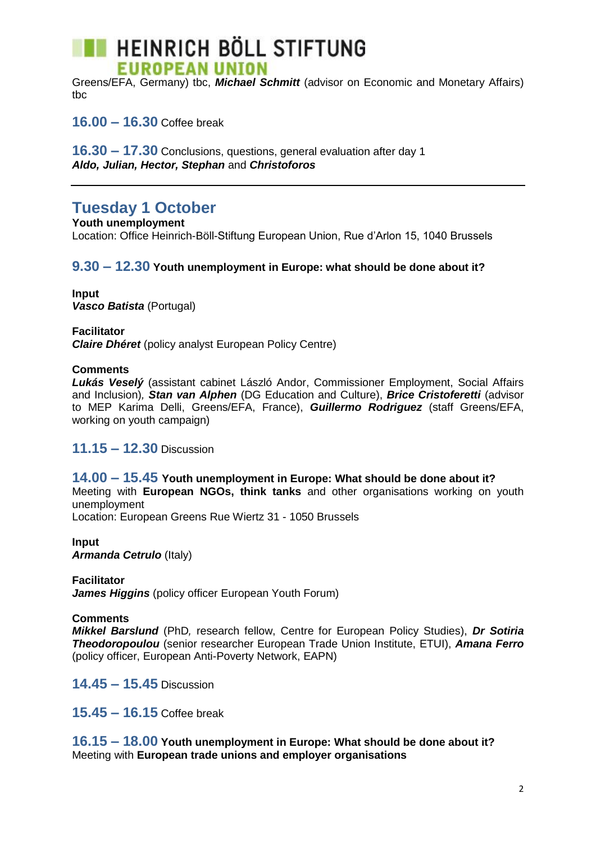# **HEINRICH BÖLL STIFTUNG EUROPEAN UNION**

Greens/EFA, Germany) tbc, *Michael Schmitt* (advisor on Economic and Monetary Affairs) tbc

**16.00 – 16.30** Coffee break

**16.30 – 17.30** Conclusions, questions, general evaluation after day 1 *Aldo, Julian, Hector, Stephan* and *Christoforos*

## **Tuesday 1 October**

**Youth unemployment** Location: Office Heinrich-Böll-Stiftung European Union, Rue d'Arlon 15, 1040 Brussels

## **9.30 – 12.30 Youth unemployment in Europe: what should be done about it?**

**Input** *Vasco Batista* (Portugal)

**Facilitator** *Claire Dhéret* (policy analyst European Policy Centre)

## **Comments**

*Lukás Veselý* (assistant cabinet László Andor, Commissioner Employment, Social Affairs and Inclusion)*, Stan van Alphen* (DG Education and Culture), *Brice Cristoferetti* (advisor to MEP Karima Delli, Greens/EFA, France), *Guillermo Rodriguez* (staff Greens/EFA, working on youth campaign)

## **11.15 – 12.30** Discussion

**14.00 – 15.45 Youth unemployment in Europe: What should be done about it?** Meeting with **European NGOs, think tanks** and other organisations working on youth unemployment

Location: European Greens Rue Wiertz 31 - 1050 Brussels

**Input** *Armanda Cetrulo* (Italy)

**Facilitator** 

*James Higgins* (policy officer European Youth Forum)

#### **Comments**

*Mikkel Barslund* (PhD*,* research fellow, Centre for European Policy Studies), *Dr Sotiria Theodoropoulou* (senior researcher European Trade Union Institute, ETUI), *Amana Ferro* (policy officer, European Anti-Poverty Network, EAPN)

**14.45 – 15.45** Discussion

**15.45 – 16.15** Coffee break

**16.15 – 18.00 Youth unemployment in Europe: What should be done about it?** Meeting with **European trade unions and employer organisations**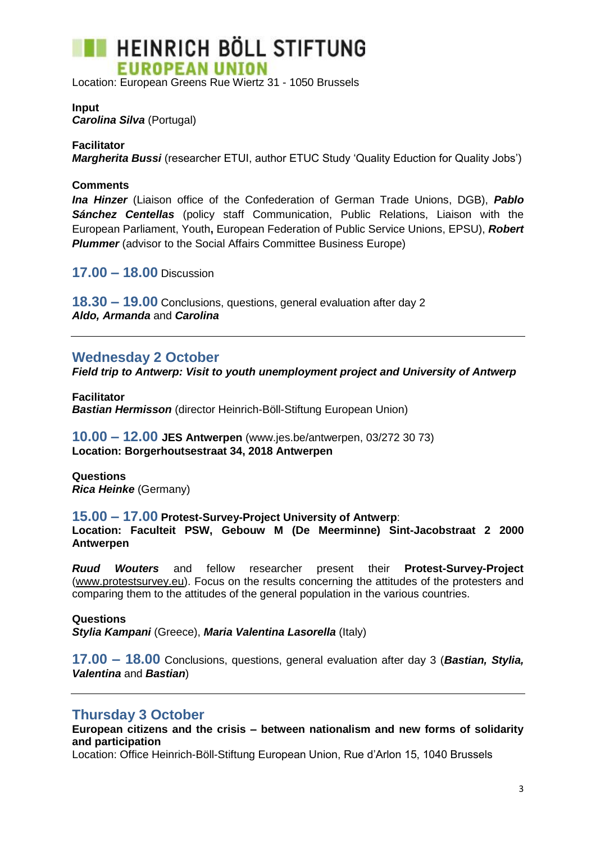

Location: European Greens Rue Wiertz 31 - 1050 Brussels

**Input**  *Carolina Silva* (Portugal)

**Facilitator** *Margherita Bussi* (researcher ETUI, author ETUC Study 'Quality Eduction for Quality Jobs')

#### **Comments**

*Ina Hinzer* (Liaison office of the Confederation of German Trade Unions, DGB), *Pablo Sánchez Centellas* (policy staff Communication, Public Relations, Liaison with the European Parliament, Youth**,** European Federation of Public Service Unions, EPSU), *Robert*  **Plummer** (advisor to the Social Affairs Committee Business Europe)

**17.00 – 18.00** Discussion

**18.30 – 19.00** Conclusions, questions, general evaluation after day 2 *Aldo, Armanda* and *Carolina*

## **Wednesday 2 October**

*Field trip to Antwerp: Visit to youth unemployment project and University of Antwerp*

**Facilitator** *Bastian Hermisson* (director Heinrich-Böll-Stiftung European Union)

**10.00 – 12.00 JES Antwerpen** (www.jes.be/antwerpen, 03/272 30 73) **Location: Borgerhoutsestraat 34, 2018 Antwerpen**

**Questions** *Rica Heinke* (Germany)

**15.00 – 17.00 Protest-Survey-Project University of Antwerp**:

**Location: Faculteit PSW, Gebouw M (De Meerminne) Sint-Jacobstraat 2 2000 Antwerpen**

*Ruud Wouters* and fellow researcher present their **Protest-Survey-Project** [\(www.protestsurvey.eu\)](http://www.protestsurvey.eu/). Focus on the results concerning the attitudes of the protesters and comparing them to the attitudes of the general population in the various countries.

**Questions** *Stylia Kampani* (Greece), *Maria Valentina Lasorella* (Italy)

**17.00 – 18.00** Conclusions, questions, general evaluation after day 3 (*Bastian, Stylia, Valentina* and *Bastian*)

## **Thursday 3 October**

**European citizens and the crisis – between nationalism and new forms of solidarity and participation**

Location: Office Heinrich-Böll-Stiftung European Union, Rue d'Arlon 15, 1040 Brussels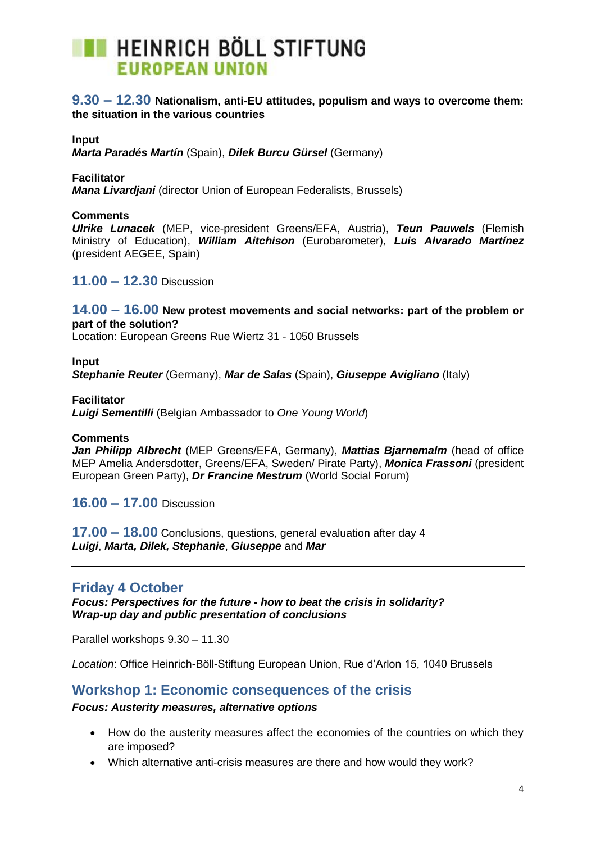

## **9.30 – 12.30 Nationalism, anti-EU attitudes, populism and ways to overcome them: the situation in the various countries**

#### **Input**

*Marta Paradés Martín* (Spain), *Dilek Burcu Gürsel* (Germany)

**Facilitator** 

*Mana Livardjani* (director Union of European Federalists, Brussels)

#### **Comments**

*Ulrike Lunacek* (MEP, vice-president Greens/EFA, Austria), *Teun Pauwels* (Flemish Ministry of Education), *William Aitchison* (Eurobarometer)*, Luis Alvarado Martínez* (president AEGEE, Spain)

**11.00 – 12.30** Discussion

#### **14.00 – 16.00 New protest movements and social networks: part of the problem or part of the solution?**

Location: European Greens Rue Wiertz 31 - 1050 Brussels

#### **Input**

*Stephanie Reuter* (Germany), *Mar de Salas* (Spain), *Giuseppe Avigliano* (Italy)

**Facilitator**

*Luigi Sementilli* (Belgian Ambassador to *One Young World*)

#### **Comments**

*Jan Philipp Albrecht* (MEP Greens/EFA, Germany), *Mattias Bjarnemalm* (head of office MEP Amelia Andersdotter, Greens/EFA, Sweden/ Pirate Party), *Monica Frassoni* (president European Green Party), *Dr Francine Mestrum* (World Social Forum)

**16.00 – 17.00** Discussion

**17.00 – 18.00** Conclusions, questions, general evaluation after day 4 *Luigi*, *Marta, Dilek, Stephanie*, *Giuseppe* and *Mar*

## **Friday 4 October**

*Focus: Perspectives for the future - how to beat the crisis in solidarity? Wrap-up day and public presentation of conclusions*

Parallel workshops 9.30 – 11.30

*Location*: Office Heinrich-Böll-Stiftung European Union, Rue d'Arlon 15, 1040 Brussels

## **Workshop 1: Economic consequences of the crisis**

#### *Focus: Austerity measures, alternative options*

- How do the austerity measures affect the economies of the countries on which they are imposed?
- Which alternative anti-crisis measures are there and how would they work?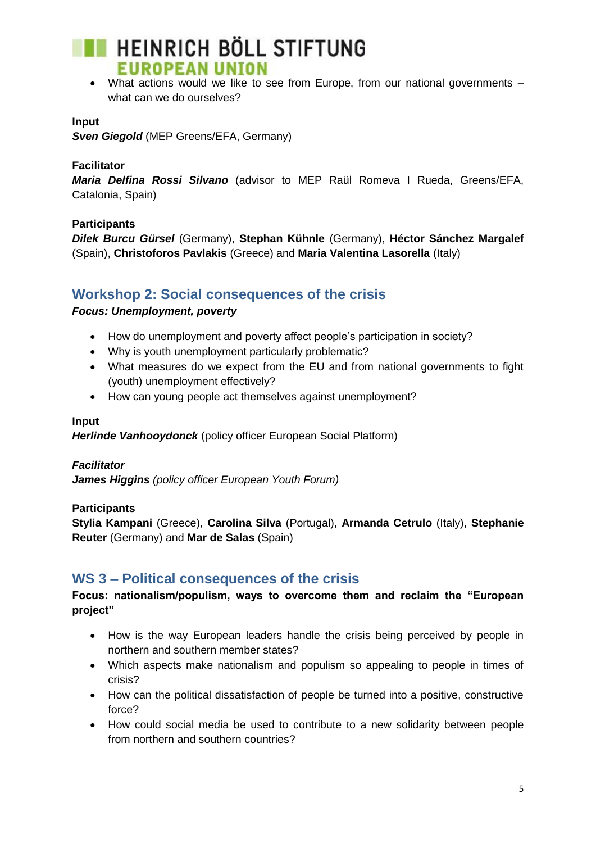# **HEINRICH BÖLL STIFTUNG EUROPEAN UNION**

 What actions would we like to see from Europe, from our national governments – what can we do ourselves?

## **Input**

*Sven Giegold* (MEP Greens/EFA, Germany)

#### **Facilitator**

*Maria Delfina Rossi Silvano* (advisor to MEP Raül Romeva I Rueda, Greens/EFA, Catalonia, Spain)

## **Participants**

*Dilek Burcu Gürsel* (Germany), **Stephan Kühnle** (Germany), **Héctor Sánchez Margalef** (Spain), **Christoforos Pavlakis** (Greece) and **Maria Valentina Lasorella** (Italy)

## **Workshop 2: Social consequences of the crisis**

#### *Focus: Unemployment, poverty*

- How do unemployment and poverty affect people's participation in society?
- Why is youth unemployment particularly problematic?
- What measures do we expect from the EU and from national governments to fight (youth) unemployment effectively?
- How can young people act themselves against unemployment?

#### **Input**

*Herlinde Vanhooydonck* (policy officer European Social Platform)

#### *Facilitator*

*James Higgins (policy officer European Youth Forum)*

#### **Participants**

**Stylia Kampani** (Greece), **Carolina Silva** (Portugal), **Armanda Cetrulo** (Italy), **Stephanie Reuter** (Germany) and **Mar de Salas** (Spain)

## **WS 3 – Political consequences of the crisis**

## **Focus: nationalism/populism, ways to overcome them and reclaim the "European project"**

- How is the way European leaders handle the crisis being perceived by people in northern and southern member states?
- Which aspects make nationalism and populism so appealing to people in times of crisis?
- How can the political dissatisfaction of people be turned into a positive, constructive force?
- How could social media be used to contribute to a new solidarity between people from northern and southern countries?